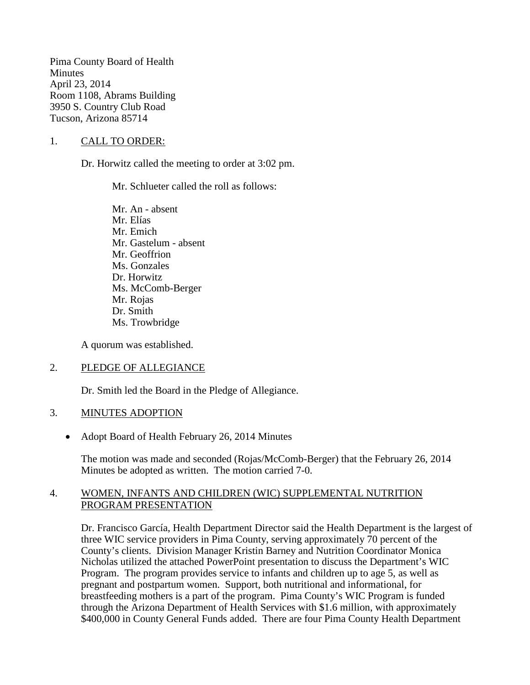Pima County Board of Health **Minutes** April 23, 2014 Room 1108, Abrams Building 3950 S. Country Club Road Tucson, Arizona 85714

## 1. CALL TO ORDER:

Dr. Horwitz called the meeting to order at 3:02 pm.

Mr. Schlueter called the roll as follows:

Mr. An - absent Mr. Elías Mr. Emich Mr. Gastelum - absent Mr. Geoffrion Ms. Gonzales Dr. Horwitz Ms. McComb-Berger Mr. Rojas Dr. Smith Ms. Trowbridge

A quorum was established.

## 2. PLEDGE OF ALLEGIANCE

Dr. Smith led the Board in the Pledge of Allegiance.

#### 3. MINUTES ADOPTION

• Adopt Board of Health February 26, 2014 Minutes

The motion was made and seconded (Rojas/McComb-Berger) that the February 26, 2014 Minutes be adopted as written. The motion carried 7-0.

## 4. WOMEN, INFANTS AND CHILDREN (WIC) SUPPLEMENTAL NUTRITION PROGRAM PRESENTATION

Dr. Francisco García, Health Department Director said the Health Department is the largest of three WIC service providers in Pima County, serving approximately 70 percent of the County's clients. Division Manager Kristin Barney and Nutrition Coordinator Monica Nicholas utilized the attached PowerPoint presentation to discuss the Department's WIC Program. The program provides service to infants and children up to age 5, as well as pregnant and postpartum women. Support, both nutritional and informational, for breastfeeding mothers is a part of the program. Pima County's WIC Program is funded through the Arizona Department of Health Services with \$1.6 million, with approximately \$400,000 in County General Funds added. There are four Pima County Health Department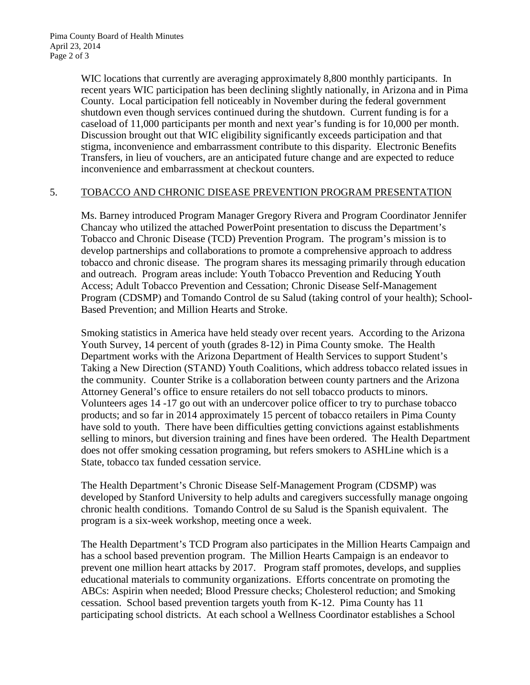WIC locations that currently are averaging approximately 8,800 monthly participants. In recent years WIC participation has been declining slightly nationally, in Arizona and in Pima County. Local participation fell noticeably in November during the federal government shutdown even though services continued during the shutdown. Current funding is for a caseload of 11,000 participants per month and next year's funding is for 10,000 per month. Discussion brought out that WIC eligibility significantly exceeds participation and that stigma, inconvenience and embarrassment contribute to this disparity. Electronic Benefits Transfers, in lieu of vouchers, are an anticipated future change and are expected to reduce inconvenience and embarrassment at checkout counters.

## 5. TOBACCO AND CHRONIC DISEASE PREVENTION PROGRAM PRESENTATION

Ms. Barney introduced Program Manager Gregory Rivera and Program Coordinator Jennifer Chancay who utilized the attached PowerPoint presentation to discuss the Department's Tobacco and Chronic Disease (TCD) Prevention Program. The program's mission is to develop partnerships and collaborations to promote a comprehensive approach to address tobacco and chronic disease. The program shares its messaging primarily through education and outreach. Program areas include: Youth Tobacco Prevention and Reducing Youth Access; Adult Tobacco Prevention and Cessation; Chronic Disease Self-Management Program (CDSMP) and Tomando Control de su Salud (taking control of your health); School-Based Prevention; and Million Hearts and Stroke.

Smoking statistics in America have held steady over recent years. According to the Arizona Youth Survey, 14 percent of youth (grades 8-12) in Pima County smoke. The Health Department works with the Arizona Department of Health Services to support Student's Taking a New Direction (STAND) Youth Coalitions, which address tobacco related issues in the community. Counter Strike is a collaboration between county partners and the Arizona Attorney General's office to ensure retailers do not sell tobacco products to minors. Volunteers ages 14 -17 go out with an undercover police officer to try to purchase tobacco products; and so far in 2014 approximately 15 percent of tobacco retailers in Pima County have sold to youth. There have been difficulties getting convictions against establishments selling to minors, but diversion training and fines have been ordered. The Health Department does not offer smoking cessation programing, but refers smokers to ASHLine which is a State, tobacco tax funded cessation service.

The Health Department's Chronic Disease Self-Management Program (CDSMP) was developed by Stanford University to help adults and caregivers successfully manage ongoing chronic health conditions. Tomando Control de su Salud is the Spanish equivalent. The program is a six-week workshop, meeting once a week.

The Health Department's TCD Program also participates in the Million Hearts Campaign and has a school based prevention program. The Million Hearts Campaign is an endeavor to prevent one million heart attacks by 2017. Program staff promotes, develops, and supplies educational materials to community organizations. Efforts concentrate on promoting the ABCs: Aspirin when needed; Blood Pressure checks; Cholesterol reduction; and Smoking cessation. School based prevention targets youth from K-12. Pima County has 11 participating school districts. At each school a Wellness Coordinator establishes a School